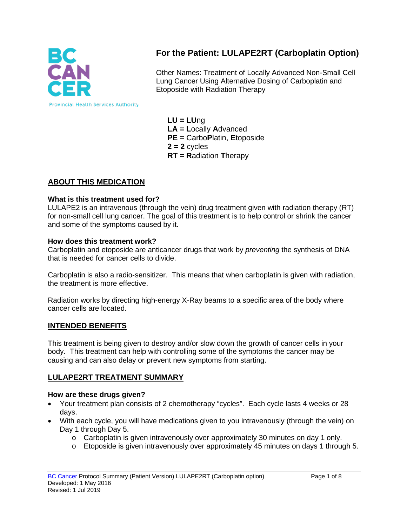

# **For the Patient: LULAPE2RT (Carboplatin Option)**

Other Names: Treatment of Locally Advanced Non-Small Cell Lung Cancer Using Alternative Dosing of Carboplatin and Etoposide with Radiation Therapy

**LU = LU**ng **LA = L**ocally **A**dvanced **PE =** Carbo**P**latin, **E**toposide **2 = 2** cycles **RT = R**adiation **T**herapy

## **ABOUT THIS MEDICATION**

#### **What is this treatment used for?**

LULAPE2 is an intravenous (through the vein) drug treatment given with radiation therapy (RT) for non-small cell lung cancer. The goal of this treatment is to help control or shrink the cancer and some of the symptoms caused by it.

#### **How does this treatment work?**

Carboplatin and etoposide are anticancer drugs that work by *preventing* the synthesis of DNA that is needed for cancer cells to divide.

Carboplatin is also a radio-sensitizer. This means that when carboplatin is given with radiation, the treatment is more effective.

Radiation works by directing high-energy X-Ray beams to a specific area of the body where cancer cells are located.

### **INTENDED BENEFITS**

This treatment is being given to destroy and/or slow down the growth of cancer cells in your body. This treatment can help with controlling some of the symptoms the cancer may be causing and can also delay or prevent new symptoms from starting.

### **LULAPE2RT TREATMENT SUMMARY**

#### **How are these drugs given?**

- Your treatment plan consists of 2 chemotherapy "cycles". Each cycle lasts 4 weeks or 28 days.
- With each cycle, you will have medications given to you intravenously (through the vein) on Day 1 through Day 5.
	- $\circ$  Carboplatin is given intravenously over approximately 30 minutes on day 1 only.
	- o Etoposide is given intravenously over approximately 45 minutes on days 1 through 5.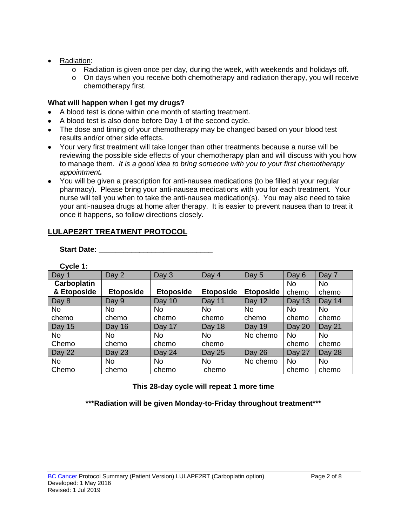- Radiation:
	- o Radiation is given once per day, during the week, with weekends and holidays off.
	- $\circ$  On days when you receive both chemotherapy and radiation therapy, you will receive chemotherapy first.

#### **What will happen when I get my drugs?**

- A blood test is done within one month of starting treatment.
- A blood test is also done before Day 1 of the second cycle.
- The dose and timing of your chemotherapy may be changed based on your blood test results and/or other side effects.
- Your very first treatment will take longer than other treatments because a nurse will be reviewing the possible side effects of your chemotherapy plan and will discuss with you how to manage them. *It is a good idea to bring someone with you to your first chemotherapy appointment.*
- You will be given a prescription for anti-nausea medications (to be filled at your regular pharmacy). Please bring your anti-nausea medications with you for each treatment. Your nurse will tell you when to take the anti-nausea medication(s). You may also need to take your anti-nausea drugs at home after therapy. It is easier to prevent nausea than to treat it once it happens, so follow directions closely.

## **LULAPE2RT TREATMENT PROTOCOL**

**Start Date: \_\_\_\_\_\_\_\_\_\_\_\_\_\_\_\_\_\_\_\_\_\_\_\_\_\_\_\_**

**Cycle 1:**

| Day 1              | Day 2            | Day 3            | Day 4            | Day 5            | Day 6     | Day 7     |
|--------------------|------------------|------------------|------------------|------------------|-----------|-----------|
| <b>Carboplatin</b> |                  |                  |                  |                  | <b>No</b> | <b>No</b> |
| & Etoposide        | <b>Etoposide</b> | <b>Etoposide</b> | <b>Etoposide</b> | <b>Etoposide</b> | chemo     | chemo     |
| Day 8              | Day 9            | Day 10           | Day 11           | Day 12           | Day 13    | Day 14    |
| <b>No</b>          | <b>No</b>        | No.              | No.              | <b>No</b>        | No.       | No        |
| chemo              | chemo            | chemo            | chemo            | chemo            | chemo     | chemo     |
| Day 15             | Day 16           | Day 17           | Day 18           | Day 19           | Day 20    | Day 21    |
| <b>No</b>          | <b>No</b>        | <b>No</b>        | <b>No</b>        | No chemo         | <b>No</b> | <b>No</b> |
| Chemo              | chemo            | chemo            | chemo            |                  | chemo     | chemo     |
| Day 22             | Day 23           | Day 24           | <b>Day 25</b>    | Day 26           | Day 27    | Day 28    |
| <b>No</b>          | <b>No</b>        | <b>No</b>        | <b>No</b>        | No chemo         | <b>No</b> | <b>No</b> |
| Chemo              | chemo            | chemo            | chemo            |                  | chemo     | chemo     |

**This 28-day cycle will repeat 1 more time**

**\*\*\*Radiation will be given Monday-to-Friday throughout treatment\*\*\***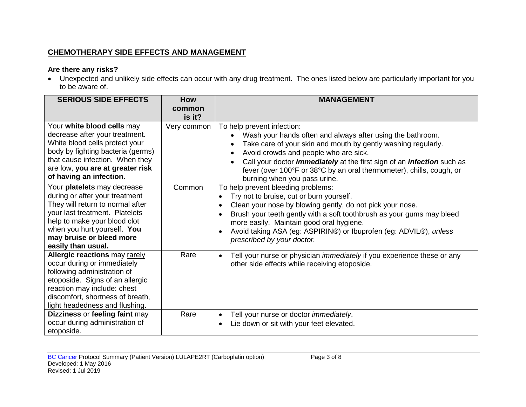## **CHEMOTHERAPY SIDE EFFECTS AND MANAGEMENT**

## **Are there any risks?**

• Unexpected and unlikely side effects can occur with any drug treatment. The ones listed below are particularly important for you to be aware of.

| <b>SERIOUS SIDE EFFECTS</b>                                                                                                                                                                                                                          | <b>How</b>            | <b>MANAGEMENT</b>                                                                                                                                                                                                                                                                                                                                                                                                       |
|------------------------------------------------------------------------------------------------------------------------------------------------------------------------------------------------------------------------------------------------------|-----------------------|-------------------------------------------------------------------------------------------------------------------------------------------------------------------------------------------------------------------------------------------------------------------------------------------------------------------------------------------------------------------------------------------------------------------------|
|                                                                                                                                                                                                                                                      | common                |                                                                                                                                                                                                                                                                                                                                                                                                                         |
| Your white blood cells may<br>decrease after your treatment.<br>White blood cells protect your<br>body by fighting bacteria (germs)<br>that cause infection. When they<br>are low, you are at greater risk                                           | is it?<br>Very common | To help prevent infection:<br>Wash your hands often and always after using the bathroom.<br>Take care of your skin and mouth by gently washing regularly.<br>Avoid crowds and people who are sick.<br>Call your doctor <i>immediately</i> at the first sign of an <i>infection</i> such as<br>fever (over 100°F or 38°C by an oral thermometer), chills, cough, or                                                      |
| of having an infection.                                                                                                                                                                                                                              |                       | burning when you pass urine.                                                                                                                                                                                                                                                                                                                                                                                            |
| Your platelets may decrease<br>during or after your treatment<br>They will return to normal after<br>your last treatment. Platelets<br>help to make your blood clot<br>when you hurt yourself. You<br>may bruise or bleed more<br>easily than usual. | Common                | To help prevent bleeding problems:<br>Try not to bruise, cut or burn yourself.<br>$\bullet$<br>Clean your nose by blowing gently, do not pick your nose.<br>$\bullet$<br>Brush your teeth gently with a soft toothbrush as your gums may bleed<br>$\bullet$<br>more easily. Maintain good oral hygiene.<br>Avoid taking ASA (eg: ASPIRIN®) or Ibuprofen (eg: ADVIL®), unless<br>$\bullet$<br>prescribed by your doctor. |
| <b>Allergic reactions may rarely</b><br>occur during or immediately<br>following administration of<br>etoposide. Signs of an allergic<br>reaction may include: chest<br>discomfort, shortness of breath,<br>light headedness and flushing.           | Rare                  | Tell your nurse or physician <i>immediately</i> if you experience these or any<br>$\bullet$<br>other side effects while receiving etoposide.                                                                                                                                                                                                                                                                            |
| Dizziness or feeling faint may<br>occur during administration of<br>etoposide.                                                                                                                                                                       | Rare                  | Tell your nurse or doctor <i>immediately</i> .<br>$\bullet$<br>Lie down or sit with your feet elevated.<br>$\bullet$                                                                                                                                                                                                                                                                                                    |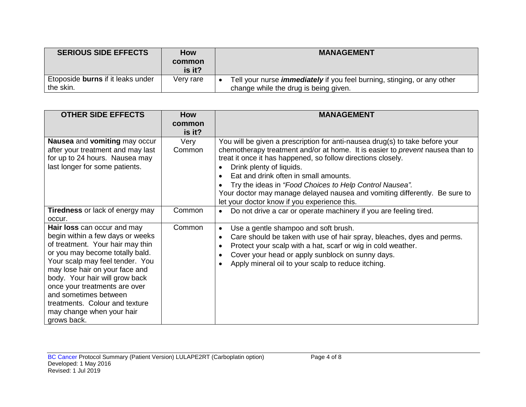| <b>SERIOUS SIDE EFFECTS</b>              | <b>How</b><br>common | <b>MANAGEMENT</b>                                                              |
|------------------------------------------|----------------------|--------------------------------------------------------------------------------|
| Etoposide <b>burns</b> if it leaks under | is it?               | Tell your nurse <i>immediately</i> if you feel burning, stinging, or any other |
| the skin.                                | Very rare            | change while the drug is being given.                                          |

| <b>OTHER SIDE EFFECTS</b>                                                                                                                                                                                                                                                                                                                                                             | <b>How</b><br>common | <b>MANAGEMENT</b>                                                                                                                                                                                                                                                                                                                                                                                                                                                                           |
|---------------------------------------------------------------------------------------------------------------------------------------------------------------------------------------------------------------------------------------------------------------------------------------------------------------------------------------------------------------------------------------|----------------------|---------------------------------------------------------------------------------------------------------------------------------------------------------------------------------------------------------------------------------------------------------------------------------------------------------------------------------------------------------------------------------------------------------------------------------------------------------------------------------------------|
|                                                                                                                                                                                                                                                                                                                                                                                       | is it?               |                                                                                                                                                                                                                                                                                                                                                                                                                                                                                             |
| Nausea and vomiting may occur<br>after your treatment and may last<br>for up to 24 hours. Nausea may<br>last longer for some patients.                                                                                                                                                                                                                                                | Very<br>Common       | You will be given a prescription for anti-nausea drug(s) to take before your<br>chemotherapy treatment and/or at home. It is easier to prevent nausea than to<br>treat it once it has happened, so follow directions closely.<br>Drink plenty of liquids.<br>Eat and drink often in small amounts.<br>Try the ideas in "Food Choices to Help Control Nausea".<br>Your doctor may manage delayed nausea and vomiting differently. Be sure to<br>let your doctor know if you experience this. |
| <b>Tiredness</b> or lack of energy may<br>occur.                                                                                                                                                                                                                                                                                                                                      | Common               | Do not drive a car or operate machinery if you are feeling tired.<br>$\bullet$                                                                                                                                                                                                                                                                                                                                                                                                              |
| Hair loss can occur and may<br>begin within a few days or weeks<br>of treatment. Your hair may thin<br>or you may become totally bald.<br>Your scalp may feel tender. You<br>may lose hair on your face and<br>body. Your hair will grow back<br>once your treatments are over<br>and sometimes between<br>treatments. Colour and texture<br>may change when your hair<br>grows back. | Common               | Use a gentle shampoo and soft brush.<br>$\bullet$<br>Care should be taken with use of hair spray, bleaches, dyes and perms.<br>$\bullet$<br>Protect your scalp with a hat, scarf or wig in cold weather.<br>$\bullet$<br>Cover your head or apply sunblock on sunny days.<br>Apply mineral oil to your scalp to reduce itching.                                                                                                                                                             |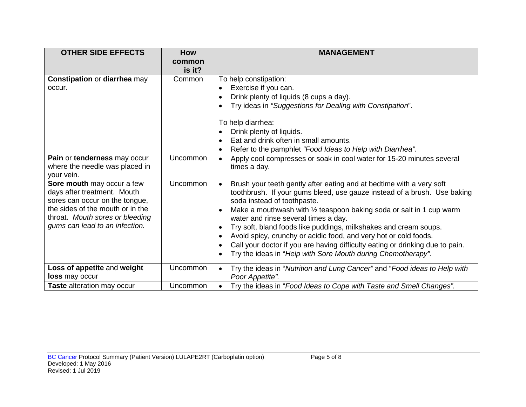| <b>OTHER SIDE EFFECTS</b>                                                                                                                                                                            | <b>How</b>       | <b>MANAGEMENT</b>                                                                                                                                                                                                                                                                                                                                                                                                                                                                                                                                                                                                                                                                |
|------------------------------------------------------------------------------------------------------------------------------------------------------------------------------------------------------|------------------|----------------------------------------------------------------------------------------------------------------------------------------------------------------------------------------------------------------------------------------------------------------------------------------------------------------------------------------------------------------------------------------------------------------------------------------------------------------------------------------------------------------------------------------------------------------------------------------------------------------------------------------------------------------------------------|
|                                                                                                                                                                                                      | common<br>is it? |                                                                                                                                                                                                                                                                                                                                                                                                                                                                                                                                                                                                                                                                                  |
| <b>Constipation or diarrhea may</b><br>occur.                                                                                                                                                        | Common           | To help constipation:<br>Exercise if you can.<br>$\bullet$<br>Drink plenty of liquids (8 cups a day).<br>$\bullet$<br>Try ideas in "Suggestions for Dealing with Constipation".<br>To help diarrhea:<br>Drink plenty of liquids.<br>Eat and drink often in small amounts.                                                                                                                                                                                                                                                                                                                                                                                                        |
| Pain or tenderness may occur<br>where the needle was placed in<br>your vein.                                                                                                                         | Uncommon         | Refer to the pamphlet "Food Ideas to Help with Diarrhea".<br>$\bullet$<br>Apply cool compresses or soak in cool water for 15-20 minutes several<br>$\bullet$<br>times a day.                                                                                                                                                                                                                                                                                                                                                                                                                                                                                                     |
| Sore mouth may occur a few<br>days after treatment. Mouth<br>sores can occur on the tongue,<br>the sides of the mouth or in the<br>throat. Mouth sores or bleeding<br>gums can lead to an infection. | <b>Uncommon</b>  | Brush your teeth gently after eating and at bedtime with a very soft<br>$\bullet$<br>toothbrush. If your gums bleed, use gauze instead of a brush. Use baking<br>soda instead of toothpaste.<br>Make a mouthwash with $\frac{1}{2}$ teaspoon baking soda or salt in 1 cup warm<br>$\bullet$<br>water and rinse several times a day.<br>Try soft, bland foods like puddings, milkshakes and cream soups.<br>$\bullet$<br>Avoid spicy, crunchy or acidic food, and very hot or cold foods.<br>$\bullet$<br>Call your doctor if you are having difficulty eating or drinking due to pain.<br>$\bullet$<br>Try the ideas in "Help with Sore Mouth during Chemotherapy".<br>$\bullet$ |
| Loss of appetite and weight<br><b>loss</b> may occur                                                                                                                                                 | Uncommon         | Try the ideas in "Nutrition and Lung Cancer" and "Food ideas to Help with<br>$\bullet$<br>Poor Appetite".                                                                                                                                                                                                                                                                                                                                                                                                                                                                                                                                                                        |
| Taste alteration may occur                                                                                                                                                                           | Uncommon         | Try the ideas in "Food Ideas to Cope with Taste and Smell Changes".<br>$\bullet$                                                                                                                                                                                                                                                                                                                                                                                                                                                                                                                                                                                                 |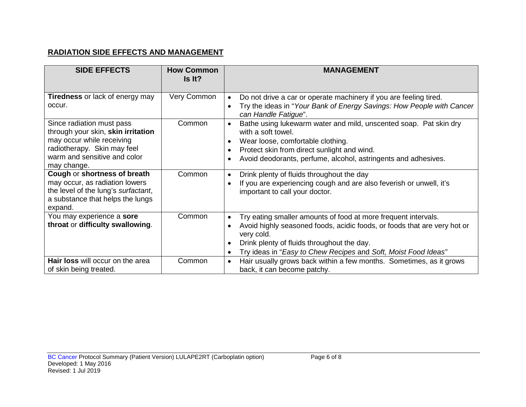## **RADIATION SIDE EFFECTS AND MANAGEMENT**

| <b>SIDE EFFECTS</b>                                                                                                                                                                                                                          | <b>How Common</b><br>Is It? | <b>MANAGEMENT</b>                                                                                                                                                                                                                                                                                                                                                                                        |
|----------------------------------------------------------------------------------------------------------------------------------------------------------------------------------------------------------------------------------------------|-----------------------------|----------------------------------------------------------------------------------------------------------------------------------------------------------------------------------------------------------------------------------------------------------------------------------------------------------------------------------------------------------------------------------------------------------|
| <b>Tiredness</b> or lack of energy may<br>occur.                                                                                                                                                                                             | Very Common                 | Do not drive a car or operate machinery if you are feeling tired.<br>$\bullet$<br>Try the ideas in "Your Bank of Energy Savings: How People with Cancer<br>can Handle Fatigue".                                                                                                                                                                                                                          |
| Since radiation must pass<br>through your skin, skin irritation<br>may occur while receiving<br>radiotherapy. Skin may feel<br>warm and sensitive and color<br>may change.<br>Cough or shortness of breath<br>may occur, as radiation lowers | Common<br>Common            | Bathe using lukewarm water and mild, unscented soap. Pat skin dry<br>with a soft towel.<br>Wear loose, comfortable clothing.<br>$\bullet$<br>Protect skin from direct sunlight and wind.<br>Avoid deodorants, perfume, alcohol, astringents and adhesives.<br>Drink plenty of fluids throughout the day<br>$\bullet$<br>If you are experiencing cough and are also feverish or unwell, it's<br>$\bullet$ |
| the level of the lung's surfactant,<br>a substance that helps the lungs<br>expand.                                                                                                                                                           |                             | important to call your doctor.                                                                                                                                                                                                                                                                                                                                                                           |
| You may experience a sore<br>throat or difficulty swallowing.                                                                                                                                                                                | Common                      | Try eating smaller amounts of food at more frequent intervals.<br>$\bullet$<br>Avoid highly seasoned foods, acidic foods, or foods that are very hot or<br>$\bullet$<br>very cold.<br>Drink plenty of fluids throughout the day.<br>Try ideas in "Easy to Chew Recipes and Soft, Moist Food Ideas"                                                                                                       |
| <b>Hair loss</b> will occur on the area<br>of skin being treated.                                                                                                                                                                            | Common                      | Hair usually grows back within a few months. Sometimes, as it grows<br>$\bullet$<br>back, it can become patchy.                                                                                                                                                                                                                                                                                          |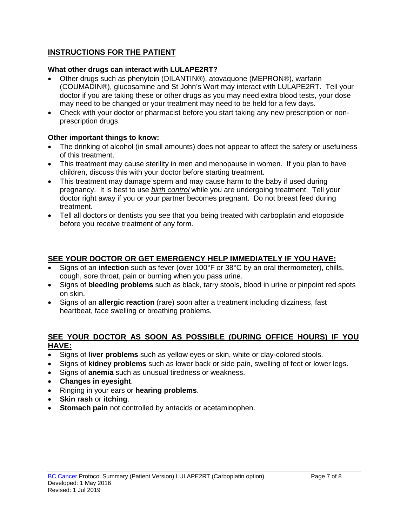## **INSTRUCTIONS FOR THE PATIENT**

## **What other drugs can interact with LULAPE2RT?**

- Other drugs such as phenytoin (DILANTIN®), atovaquone (MEPRON®), warfarin (COUMADIN®), glucosamine and St John's Wort may interact with LULAPE2RT. Tell your doctor if you are taking these or other drugs as you may need extra blood tests, your dose may need to be changed or your treatment may need to be held for a few days.
- Check with your doctor or pharmacist before you start taking any new prescription or nonprescription drugs.

### **Other important things to know:**

- The drinking of alcohol (in small amounts) does not appear to affect the safety or usefulness of this treatment.
- This treatment may cause sterility in men and menopause in women. If you plan to have children, discuss this with your doctor before starting treatment.
- This treatment may damage sperm and may cause harm to the baby if used during pregnancy. It is best to use *birth control* while you are undergoing treatment. Tell your doctor right away if you or your partner becomes pregnant. Do not breast feed during treatment.
- Tell all doctors or dentists you see that you being treated with carboplatin and etoposide before you receive treatment of any form.

## **SEE YOUR DOCTOR OR GET EMERGENCY HELP IMMEDIATELY IF YOU HAVE:**

- Signs of an **infection** such as fever (over 100°F or 38°C by an oral thermometer), chills, cough, sore throat, pain or burning when you pass urine.
- Signs of **bleeding problems** such as black, tarry stools, blood in urine or pinpoint red spots on skin.
- Signs of an **allergic reaction** (rare) soon after a treatment including dizziness, fast heartbeat, face swelling or breathing problems.

### **SEE YOUR DOCTOR AS SOON AS POSSIBLE (DURING OFFICE HOURS) IF YOU HAVE:**

- Signs of **liver problems** such as yellow eyes or skin, white or clay-colored stools.
- Signs of **kidney problems** such as lower back or side pain, swelling of feet or lower legs.
- Signs of **anemia** such as unusual tiredness or weakness.
- **Changes in eyesight**.
- Ringing in your ears or **hearing problems**.
- **Skin rash** or **itching**.
- **Stomach pain** not controlled by antacids or acetaminophen.